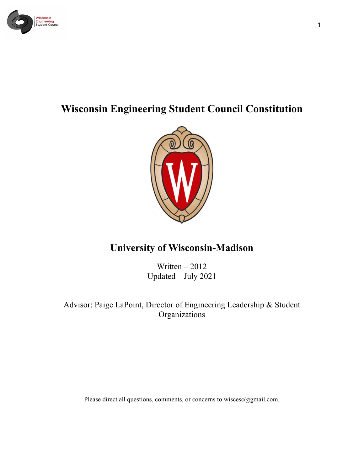

# **Wisconsin Engineering Student Council Constitution**



## **University of Wisconsin-Madison**

Written – 2012 Updated – July 2021

Advisor: Paige LaPoint, Director of Engineering Leadership & Student Organizations

Please direct all questions, comments, or concerns to wiscesc@gmail.com.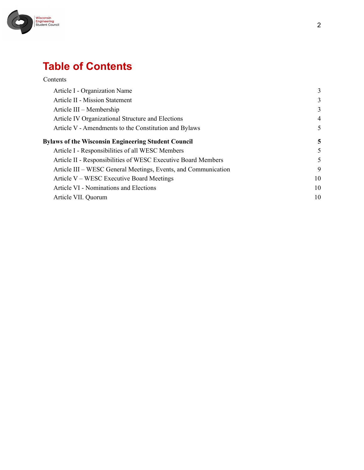

# **Table of Contents**

| Contents                                                       |                |
|----------------------------------------------------------------|----------------|
| Article I - Organization Name                                  | 3              |
| Article II - Mission Statement                                 | 3              |
| Article III – Membership                                       | 3              |
| Article IV Organizational Structure and Elections              | $\overline{4}$ |
| Article V - Amendments to the Constitution and Bylaws          | 5              |
| <b>Bylaws of the Wisconsin Engineering Student Council</b>     | 5              |
| Article I - Responsibilities of all WESC Members               | 5              |
| Article II - Responsibilities of WESC Executive Board Members  | 5              |
| Article III – WESC General Meetings, Events, and Communication | 9              |
| Article V – WESC Executive Board Meetings                      | 10             |
| Article VI - Nominations and Elections                         | 10             |
| Article VII. Quorum                                            | 10             |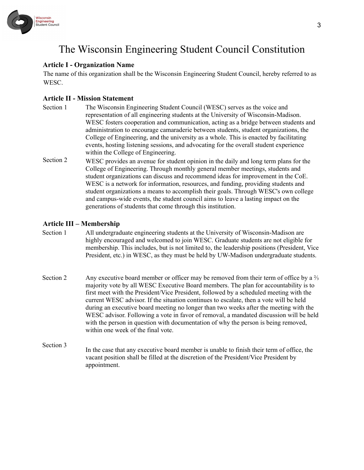

# The Wisconsin Engineering Student Council Constitution

### <span id="page-2-0"></span>**Article I - Organization Name**

The name of this organization shall be the Wisconsin Engineering Student Council, hereby referred to as WESC.

### <span id="page-2-1"></span>**Article II - Mission Statement**

- Section 1 The Wisconsin Engineering Student Council (WESC) serves as the voice and representation of all engineering students at the University of Wisconsin-Madison. WESC fosters cooperation and communication, acting as a bridge between students and administration to encourage camaraderie between students, student organizations, the College of Engineering, and the university as a whole. This is enacted by facilitating events, hosting listening sessions, and advocating for the overall student experience within the College of Engineering.
- Section 2 WESC provides an avenue for student opinion in the daily and long term plans for the College of Engineering. Through monthly general member meetings, students and student organizations can discuss and recommend ideas for improvement in the CoE. WESC is a network for information, resources, and funding, providing students and student organizations a means to accomplish their goals. Through WESC's own college and campus-wide events, the student council aims to leave a lasting impact on the generations of students that come through this institution.

### <span id="page-2-2"></span>**Article III – Membership**

- Section 1 All undergraduate engineering students at the University of Wisconsin-Madison are highly encouraged and welcomed to join WESC. Graduate students are not eligible for membership. This includes, but is not limited to, the leadership positions (President, Vice President, etc.) in WESC, as they must be held by UW-Madison undergraduate students.
- Section 2 Any executive board member or officer may be removed from their term of office by a  $\frac{2}{3}$ majority vote by all WESC Executive Board members. The plan for accountability is to first meet with the President/Vice President, followed by a scheduled meeting with the current WESC advisor. If the situation continues to escalate, then a vote will be held during an executive board meeting no longer than two weeks after the meeting with the WESC advisor. Following a vote in favor of removal, a mandated discussion will be held with the person in question with documentation of why the person is being removed, within one week of the final vote.
- Section 3 In the case that any executive board member is unable to finish their term of office, the vacant position shall be filled at the discretion of the President/Vice President by appointment.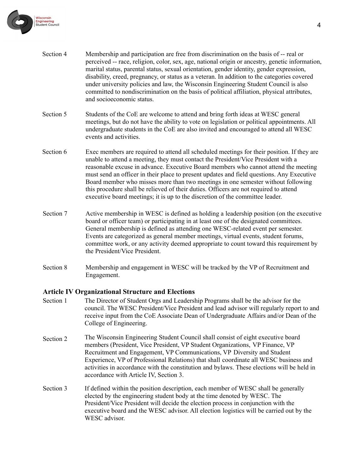

- Section 4 Membership and participation are free from discrimination on the basis of -- real or perceived -- race, religion, color, sex, age, national origin or ancestry, genetic information, marital status, parental status, sexual orientation, gender identity, gender expression, disability, creed, pregnancy, or status as a veteran. In addition to the categories covered under university policies and law, the Wisconsin Engineering Student Council is also committed to nondiscrimination on the basis of political affiliation, physical attributes, and socioeconomic status.
- Section 5 Students of the CoE are welcome to attend and bring forth ideas at WESC general meetings, but do not have the ability to vote on legislation or political appointments. All undergraduate students in the CoE are also invited and encouraged to attend all WESC events and activities.
- Section 6 Exec members are required to attend all scheduled meetings for their position. If they are unable to attend a meeting, they must contact the President/Vice President with a reasonable excuse in advance. Executive Board members who cannot attend the meeting must send an officer in their place to present updates and field questions. Any Executive Board member who misses more than two meetings in one semester without following this procedure shall be relieved of their duties. Officers are not required to attend executive board meetings; it is up to the discretion of the committee leader.
- Section 7 Active membership in WESC is defined as holding a leadership position (on the executive board or officer team) or participating in at least one of the designated committees. General membership is defined as attending one WESC-related event per semester. Events are categorized as general member meetings, virtual events, student forums, committee work, or any activity deemed appropriate to count toward this requirement by the President/Vice President.
- Section 8 Membership and engagement in WESC will be tracked by the VP of Recruitment and Engagement.

#### <span id="page-3-0"></span>**Article IV Organizational Structure and Elections**

- Section 1 The Director of Student Orgs and Leadership Programs shall be the advisor for the council. The WESC President/Vice President and lead advisor will regularly report to and receive input from the CoE Associate Dean of Undergraduate Affairs and/or Dean of the College of Engineering.
- Section 2 The Wisconsin Engineering Student Council shall consist of eight executive board members (President, Vice President, VP Student Organizations, VP Finance, VP Recruitment and Engagement, VP Communications, VP Diversity and Student Experience, VP of Professional Relations) that shall coordinate all WESC business and activities in accordance with the constitution and bylaws. These elections will be held in accordance with Article IV, Section 3.
- Section 3 If defined within the position description, each member of WESC shall be generally elected by the engineering student body at the time denoted by WESC. The President/Vice President will decide the election process in conjunction with the executive board and the WESC advisor. All election logistics will be carried out by the WESC advisor.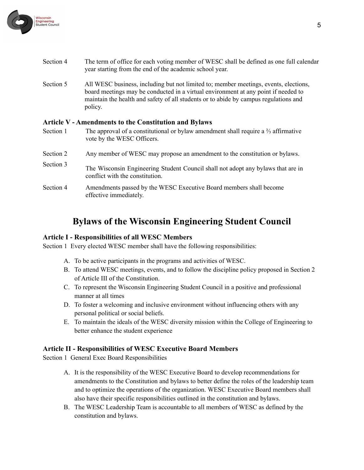

- Section 4 The term of office for each voting member of WESC shall be defined as one full calendar year starting from the end of the academic school year.
- Section 5 All WESC business, including but not limited to; member meetings, events, elections, board meetings may be conducted in a virtual environment at any point if needed to maintain the health and safety of all students or to abide by campus regulations and policy.

### <span id="page-4-0"></span>**Article V - Amendments to the Constitution and Bylaws**

| Section 1 | The approval of a constitutional or bylaw amendment shall require a $\frac{2}{3}$ affirmative<br>vote by the WESC Officers. |
|-----------|-----------------------------------------------------------------------------------------------------------------------------|
| Section 2 | Any member of WESC may propose an amendment to the constitution or bylaws.                                                  |
| Section 3 | The Wisconsin Engineering Student Council shall not adopt any bylaws that are in<br>conflict with the constitution.         |
| Section 4 | Amendments passed by the WESC Executive Board members shall become<br>effective immediately.                                |

### **Bylaws of the Wisconsin Engineering Student Council**

#### <span id="page-4-2"></span><span id="page-4-1"></span>**Article I - Responsibilities of all WESC Members**

Section 1 Every elected WESC member shall have the following responsibilities:

- A. To be active participants in the programs and activities of WESC.
- B. To attend WESC meetings, events, and to follow the discipline policy proposed in Section 2 of Article III of the Constitution.
- C. To represent the Wisconsin Engineering Student Council in a positive and professional manner at all times
- D. To foster a welcoming and inclusive environment without influencing others with any personal political or social beliefs.
- E. To maintain the ideals of the WESC diversity mission within the College of Engineering to better enhance the student experience

### <span id="page-4-3"></span>**Article II - Responsibilities of WESC Executive Board Members**

Section 1 General Exec Board Responsibilities

- A. It is the responsibility of the WESC Executive Board to develop recommendations for amendments to the Constitution and bylaws to better define the roles of the leadership team and to optimize the operations of the organization. WESC Executive Board members shall also have their specific responsibilities outlined in the constitution and bylaws.
- B. The WESC Leadership Team is accountable to all members of WESC as defined by the constitution and bylaws.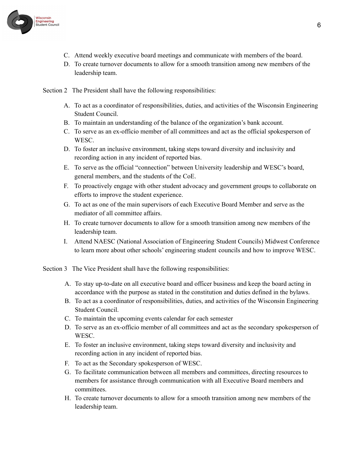

- C. Attend weekly executive board meetings and communicate with members of the board.
- D. To create turnover documents to allow for a smooth transition among new members of the leadership team.

Section 2 The President shall have the following responsibilities:

- A. To act as a coordinator of responsibilities, duties, and activities of the Wisconsin Engineering Student Council.
- B. To maintain an understanding of the balance of the organization's bank account.
- C. To serve as an ex-officio member of all committees and act as the official spokesperson of **WESC.**
- D. To foster an inclusive environment, taking steps toward diversity and inclusivity and recording action in any incident of reported bias.
- E. To serve as the official "connection" between University leadership and WESC's board, general members, and the students of the CoE.
- F. To proactively engage with other student advocacy and government groups to collaborate on efforts to improve the student experience.
- G. To act as one of the main supervisors of each Executive Board Member and serve as the mediator of all committee affairs.
- H. To create turnover documents to allow for a smooth transition among new members of the leadership team.
- I. Attend NAESC (National Association of Engineering Student Councils) Midwest Conference to learn more about other schools' engineering student councils and how to improve WESC.

Section 3 The Vice President shall have the following responsibilities:

- A. To stay up-to-date on all executive board and officer business and keep the board acting in accordance with the purpose as stated in the constitution and duties defined in the bylaws.
- B. To act as a coordinator of responsibilities, duties, and activities of the Wisconsin Engineering Student Council.
- C. To maintain the upcoming events calendar for each semester
- D. To serve as an ex-officio member of all committees and act as the secondary spokesperson of WESC.
- E. To foster an inclusive environment, taking steps toward diversity and inclusivity and recording action in any incident of reported bias.
- F. To act as the Secondary spokesperson of WESC.
- G. To facilitate communication between all members and committees, directing resources to members for assistance through communication with all Executive Board members and committees.
- H. To create turnover documents to allow for a smooth transition among new members of the leadership team.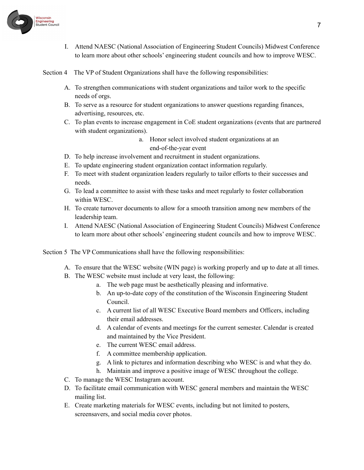

I. Attend NAESC (National Association of Engineering Student Councils) Midwest Conference to learn more about other schools' engineering student councils and how to improve WESC.

Section 4 The VP of Student Organizations shall have the following responsibilities:

- A. To strengthen communications with student organizations and tailor work to the specific needs of orgs.
- B. To serve as a resource for student organizations to answer questions regarding finances, advertising, resources, etc.
- C. To plan events to increase engagement in CoE student organizations (events that are partnered with student organizations).
	- a. Honor select involved student organizations at an end-of-the-year event
- D. To help increase involvement and recruitment in student organizations.
- E. To update engineering student organization contact information regularly.
- F. To meet with student organization leaders regularly to tailor efforts to their successes and needs.
- G. To lead a committee to assist with these tasks and meet regularly to foster collaboration within WESC.
- H. To create turnover documents to allow for a smooth transition among new members of the leadership team.
- I. Attend NAESC (National Association of Engineering Student Councils) Midwest Conference to learn more about other schools' engineering student councils and how to improve WESC.

Section 5 The VP Communications shall have the following responsibilities:

- A. To ensure that the WESC website (WIN page) is working properly and up to date at all times.
- B. The WESC website must include at very least, the following:
	- a. The web page must be aesthetically pleasing and informative.
	- b. An up-to-date copy of the constitution of the Wisconsin Engineering Student Council.
	- c. A current list of all WESC Executive Board members and Officers, including their email addresses.
	- d. A calendar of events and meetings for the current semester. Calendar is created and maintained by the Vice President.
	- e. The current WESC email address.
	- f. A committee membership application.
	- g. A link to pictures and information describing who WESC is and what they do.
	- h. Maintain and improve a positive image of WESC throughout the college.
- C. To manage the WESC Instagram account.
- D. To facilitate email communication with WESC general members and maintain the WESC mailing list.
- E. Create marketing materials for WESC events, including but not limited to posters, screensavers, and social media cover photos.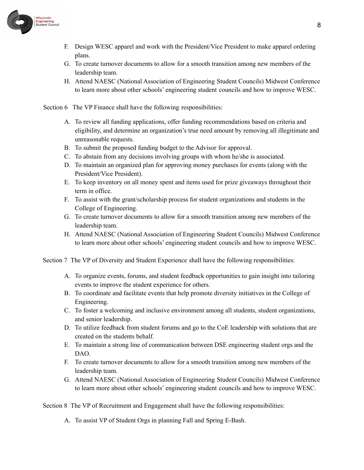

- F. Design WESC apparel and work with the President/Vice President to make apparel ordering plans.
- G. To create turnover documents to allow for a smooth transition among new members of the leadership team.
- H. Attend NAESC (National Association of Engineering Student Councils) Midwest Conference to learn more about other schools' engineering student councils and how to improve WESC.

Section 6 The VP Finance shall have the following responsibilities:

- A. To review all funding applications, offer funding recommendations based on criteria and eligibility, and determine an organization's true need amount by removing all illegitimate and unreasonable requests.
- B. To submit the proposed funding budget to the Advisor for approval.
- C. To abstain from any decisions involving groups with whom he/she is associated.
- D. To maintain an organized plan for approving money purchases for events (along with the President/Vice President).
- E. To keep inventory on all money spent and items used for prize giveaways throughout their term in office.
- F. To assist with the grant/scholarship process for student organizations and students in the College of Engineering.
- G. To create turnover documents to allow for a smooth transition among new members of the leadership team.
- H. Attend NAESC (National Association of Engineering Student Councils) Midwest Conference to learn more about other schools' engineering student councils and how to improve WESC.

Section 7 The VP of Diversity and Student Experience shall have the following responsibilities:

- A. To organize events, forums, and student feedback opportunities to gain insight into tailoring events to improve the student experience for others.
- B. To coordinate and facilitate events that help promote diversity initiatives in the College of Engineering.
- C. To foster a welcoming and inclusive environment among all students, student organizations, and senior leadership.
- D. To utilize feedback from student forums and go to the CoE leadership with solutions that are created on the students behalf.
- E. To maintain a strong line of communication between DSE engineering student orgs and the DAO.
- F. To create turnover documents to allow for a smooth transition among new members of the leadership team.
- G. Attend NAESC (National Association of Engineering Student Councils) Midwest Conference to learn more about other schools' engineering student councils and how to improve WESC.

Section 8 The VP of Recruitment and Engagement shall have the following responsibilities:

A. To assist VP of Student Orgs in planning Fall and Spring E-Bash.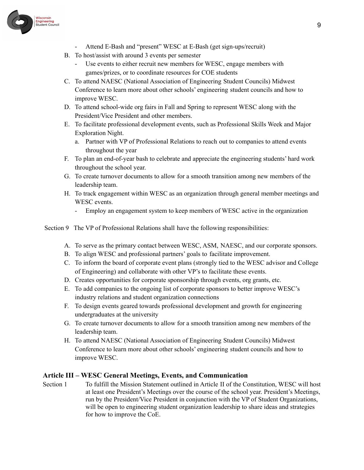

- Attend E-Bash and "present" WESC at E-Bash (get sign-ups/recruit)
- B. To host/assist with around 3 events per semester
	- Use events to either recruit new members for WESC, engage members with games/prizes, or to coordinate resources for COE students
- C. To attend NAESC (National Association of Engineering Student Councils) Midwest Conference to learn more about other schools' engineering student councils and how to improve WESC.
- D. To attend school-wide org fairs in Fall and Spring to represent WESC along with the President/Vice President and other members.
- E. To facilitate professional development events, such as Professional Skills Week and Major Exploration Night.
	- a. Partner with VP of Professional Relations to reach out to companies to attend events throughout the year
- F. To plan an end-of-year bash to celebrate and appreciate the engineering students' hard work throughout the school year.
- G. To create turnover documents to allow for a smooth transition among new members of the leadership team.
- H. To track engagement within WESC as an organization through general member meetings and WESC events.
	- Employ an engagement system to keep members of WESC active in the organization
- Section 9 The VP of Professional Relations shall have the following responsibilities:
	- A. To serve as the primary contact between WESC, ASM, NAESC, and our corporate sponsors.
	- B. To align WESC and professional partners' goals to facilitate improvement.
	- C. To inform the board of corporate event plans (strongly tied to the WESC advisor and College of Engineering) and collaborate with other VP's to facilitate these events.
	- D. Creates opportunities for corporate sponsorship through events, org grants, etc.
	- E. To add companies to the ongoing list of corporate sponsors to better improve WESC's industry relations and student organization connections
	- F. To design events geared towards professional development and growth for engineering undergraduates at the university
	- G. To create turnover documents to allow for a smooth transition among new members of the leadership team.
	- H. To attend NAESC (National Association of Engineering Student Councils) Midwest Conference to learn more about other schools' engineering student councils and how to improve WESC.

### <span id="page-8-0"></span>**Article III – WESC General Meetings, Events, and Communication**

Section 1 To fulfill the Mission Statement outlined in Article II of the Constitution, WESC will host at least one President's Meetings over the course of the school year. President's Meetings, run by the President/Vice President in conjunction with the VP of Student Organizations, will be open to engineering student organization leadership to share ideas and strategies for how to improve the CoE.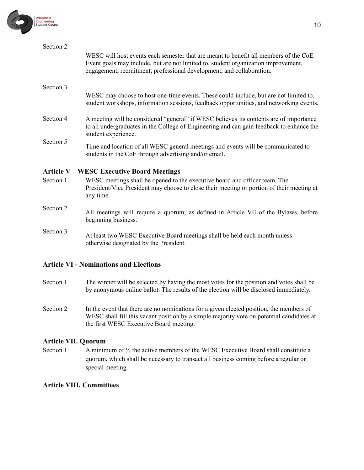

| Section 2 |                                                                                                                                                                                                                                                      |
|-----------|------------------------------------------------------------------------------------------------------------------------------------------------------------------------------------------------------------------------------------------------------|
|           | WESC will host events each semester that are meant to benefit all members of the CoE.<br>Event goals may include, but are not limited to, student organization improvement,<br>engagement, recruitment, professional development, and collaboration. |
| Section 3 |                                                                                                                                                                                                                                                      |
|           | WESC may choose to host one-time events. These could include, but are not limited to,<br>student workshops, information sessions, feedback opportunities, and networking events.                                                                     |
| Section 4 | A meeting will be considered "general" if WESC believes its contents are of importance<br>to all undergraduates in the College of Engineering and can gain feedback to enhance the<br>student experience.                                            |
| Section 5 | Time and location of all WESC general meetings and events will be communicated to<br>students in the CoE through advertising and/or email.                                                                                                           |

### <span id="page-9-0"></span>**Article V – WESC Executive Board Meetings**

- Section 1 WESC meetings shall be opened to the executive board and officer team. The President/Vice President may choose to close their meeting or portion of their meeting at any time.
- Section 2<br>All meetings will require a quorum, as defined in Article VII of the Bylaws, before beginning business.
- Section <sup>3</sup> At least two WESC Executive Board meetings shall be held each month unless otherwise designated by the President.

### <span id="page-9-1"></span>**Article VI - Nominations and Elections**

- Section 1 The winner will be selected by having the most votes for the position and votes shall be by anonymous online ballot. The results of the election will be disclosed immediately.
- Section 2 In the event that there are no nominations for a given elected position, the members of WESC shall fill this vacant position by a simple majority vote on potential candidates at the first WESC Executive Board meeting.

### <span id="page-9-2"></span>**Article VII. Quorum**

Section 1 A minimum of  $\frac{1}{2}$  the active members of the WESC Executive Board shall constitute a quorum, which shall be necessary to transact all business coming before a regular or special meeting.

### **Article VIII. Committees**